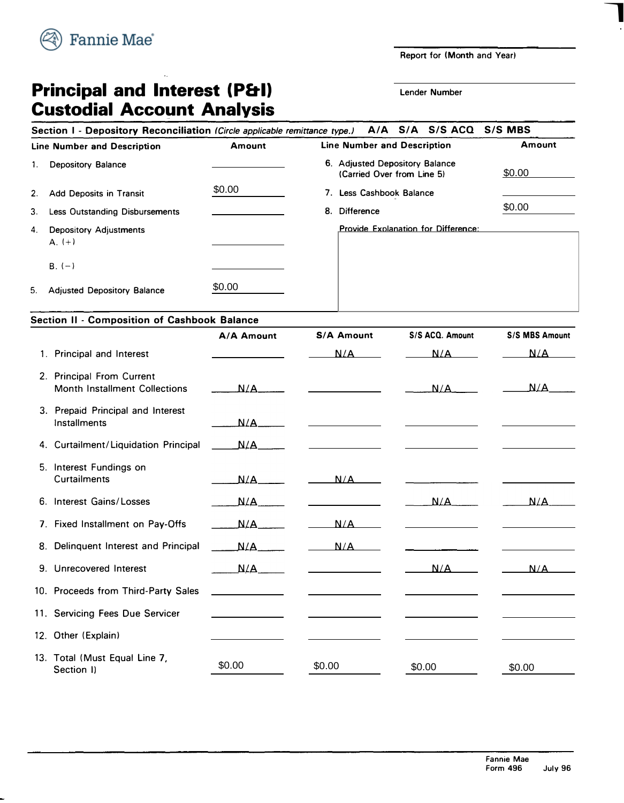

**Report for (Month and Year)** 

**7** 

# **Principal and Interest (P&I) Custodial Account Analysis**

 $\hat{\mathbf{z}}_k$ 

**Lender Number** 

|                                    | A/A S/A S/S ACQ S/S MBS<br>Section I - Depository Reconciliation (Circle applicable remittance type.) |               |                                                              |        |  |  |  |  |
|------------------------------------|-------------------------------------------------------------------------------------------------------|---------------|--------------------------------------------------------------|--------|--|--|--|--|
| <b>Line Number and Description</b> |                                                                                                       | <b>Amount</b> | <b>Line Number and Description</b>                           | Amount |  |  |  |  |
|                                    | <b>Depository Balance</b>                                                                             |               | 6. Adjusted Depository Balance<br>(Carried Over from Line 5) | \$0.00 |  |  |  |  |
| 2.                                 | Add Deposits in Transit                                                                               | \$0.00        | Less Cashbook Balance<br>7.                                  |        |  |  |  |  |
| 3.                                 | <b>Less Outstanding Disbursements</b>                                                                 |               | <b>Difference</b><br>8.                                      | \$0.00 |  |  |  |  |
| 4.                                 | <b>Depository Adjustments</b><br>$A. (+)$                                                             |               | Provide Explanation for Difference:                          |        |  |  |  |  |
|                                    | $B. (-)$                                                                                              |               |                                                              |        |  |  |  |  |
| -5.                                | <b>Adjusted Depository Balance</b>                                                                    | \$0.00        |                                                              |        |  |  |  |  |

#### **Section** II - **Composition of Cashbook Balance**

|    |                                                                   | A/A Amount                                  | <b>S/A Amount</b>                                 | S/S ACQ. Amount                                                                                                                                                                                                                      | <b>S/S MBS Amount</b> |
|----|-------------------------------------------------------------------|---------------------------------------------|---------------------------------------------------|--------------------------------------------------------------------------------------------------------------------------------------------------------------------------------------------------------------------------------------|-----------------------|
|    | 1. Principal and Interest                                         |                                             | N/A                                               | N/A                                                                                                                                                                                                                                  | N/A                   |
|    | 2. Principal From Current<br><b>Month Installment Collections</b> | N/A                                         |                                                   | $N/A$ .                                                                                                                                                                                                                              | N/A                   |
|    | 3. Prepaid Principal and Interest<br>Installments                 | N/A                                         |                                                   |                                                                                                                                                                                                                                      |                       |
|    | 4. Curtailment/Liquidation Principal                              | $\begin{array}{c}\n\text{M/A}\n\end{array}$ | <u> 1980 - Johann Barnett, fransk politiker (</u> | <u>and the companies of the companies of the companies of the companies of the companies of the companies of the companies of the companies of the companies of the companies of the companies of the companies of the companies</u> |                       |
|    | 5. Interest Fundings on<br><b>Curtailments</b>                    | N/A                                         | N/A                                               |                                                                                                                                                                                                                                      |                       |
|    | 6. Interest Gains/Losses                                          | N/A                                         |                                                   | N/A                                                                                                                                                                                                                                  | $N/A$ .               |
|    | 7. Fixed Installment on Pay-Offs                                  | N/A                                         | N/A                                               |                                                                                                                                                                                                                                      |                       |
| 8. | Delinquent Interest and Principal                                 | N/A                                         | N/A                                               |                                                                                                                                                                                                                                      |                       |
|    | 9. Unrecovered Interest                                           | N/A                                         |                                                   | N/A                                                                                                                                                                                                                                  | N/A                   |
|    | 10. Proceeds from Third-Party Sales                               |                                             |                                                   |                                                                                                                                                                                                                                      |                       |
|    | 11. Servicing Fees Due Servicer                                   |                                             |                                                   |                                                                                                                                                                                                                                      |                       |
|    | 12. Other (Explain)                                               |                                             |                                                   |                                                                                                                                                                                                                                      |                       |
|    | 13. Total (Must Equal Line 7,<br>Section I)                       | \$0.00                                      | \$0.00                                            | \$0.00                                                                                                                                                                                                                               | \$0.00                |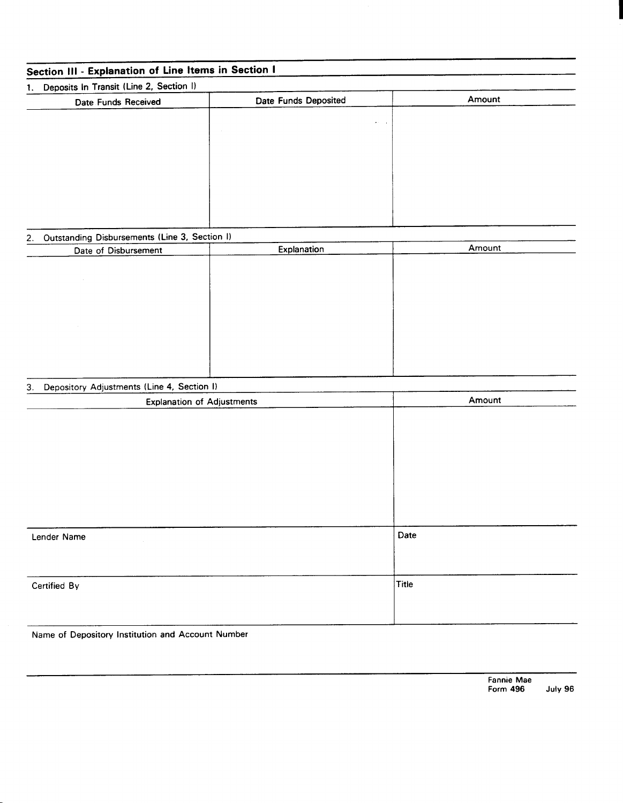| Section III - Explanation of Line Items in Section I |                      |        |  |  |  |  |  |
|------------------------------------------------------|----------------------|--------|--|--|--|--|--|
| 1. Deposits In Transit (Line 2, Section I)           |                      |        |  |  |  |  |  |
| Date Funds Received                                  | Date Funds Deposited | Amount |  |  |  |  |  |
|                                                      | ä,<br>$\bullet$      |        |  |  |  |  |  |
|                                                      |                      |        |  |  |  |  |  |
|                                                      |                      |        |  |  |  |  |  |
|                                                      |                      |        |  |  |  |  |  |
|                                                      |                      |        |  |  |  |  |  |
|                                                      |                      |        |  |  |  |  |  |
|                                                      |                      |        |  |  |  |  |  |
| 2. Outstanding Disbursements (Line 3, Section I)     |                      |        |  |  |  |  |  |
| Date of Disbursement                                 | Explanation          | Amount |  |  |  |  |  |
|                                                      |                      |        |  |  |  |  |  |
|                                                      |                      |        |  |  |  |  |  |
|                                                      |                      |        |  |  |  |  |  |
|                                                      |                      |        |  |  |  |  |  |
|                                                      |                      |        |  |  |  |  |  |
|                                                      |                      |        |  |  |  |  |  |
|                                                      |                      |        |  |  |  |  |  |
| Depository Adjustments (Line 4, Section I)<br>3.     |                      |        |  |  |  |  |  |
| <b>Explanation of Adjustments</b>                    |                      | Amount |  |  |  |  |  |
|                                                      |                      |        |  |  |  |  |  |
|                                                      |                      |        |  |  |  |  |  |
|                                                      |                      |        |  |  |  |  |  |
|                                                      |                      |        |  |  |  |  |  |
|                                                      |                      |        |  |  |  |  |  |
|                                                      |                      |        |  |  |  |  |  |
|                                                      |                      |        |  |  |  |  |  |
| Lender Name                                          |                      | Date   |  |  |  |  |  |
|                                                      |                      |        |  |  |  |  |  |
|                                                      |                      |        |  |  |  |  |  |
| Certified By                                         |                      | Title  |  |  |  |  |  |
|                                                      |                      |        |  |  |  |  |  |
|                                                      |                      |        |  |  |  |  |  |
|                                                      |                      |        |  |  |  |  |  |

Name of Depository Institution and Account Number